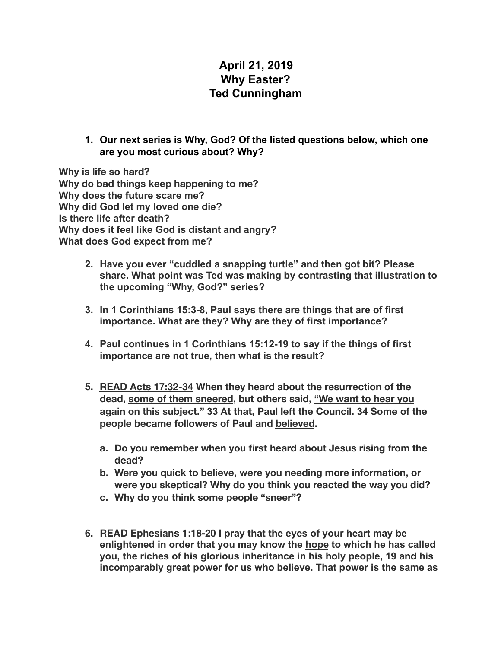## **April 21, 2019 Why Easter? Ted Cunningham**

**1. Our next series is Why, God? Of the listed questions below, which one are you most curious about? Why?** 

**Why is life so hard? Why do bad things keep happening to me? Why does the future scare me? Why did God let my loved one die? Is there life after death? Why does it feel like God is distant and angry? What does God expect from me?** 

- **2. Have you ever "cuddled a snapping turtle" and then got bit? Please share. What point was Ted was making by contrasting that illustration to the upcoming "Why, God?" series?**
- **3. In 1 Corinthians 15:3-8, Paul says there are things that are of first importance. What are they? Why are they of first importance?**
- **4. Paul continues in 1 Corinthians 15:12-19 to say if the things of first importance are not true, then what is the result?**
- **5. READ Acts 17:32-34 When they heard about the resurrection of the dead, some of them sneered, but others said, "We want to hear you again on this subject." 33 At that, Paul left the Council. 34 Some of the people became followers of Paul and believed.** 
	- **a. Do you remember when you first heard about Jesus rising from the dead?**
	- **b. Were you quick to believe, were you needing more information, or were you skeptical? Why do you think you reacted the way you did?**
	- **c. Why do you think some people "sneer"?**
- **6. READ Ephesians 1:18-20 I pray that the eyes of your heart may be enlightened in order that you may know the hope to which he has called you, the riches of his glorious inheritance in his holy people, 19 and his incomparably great power for us who believe. That power is the same as**